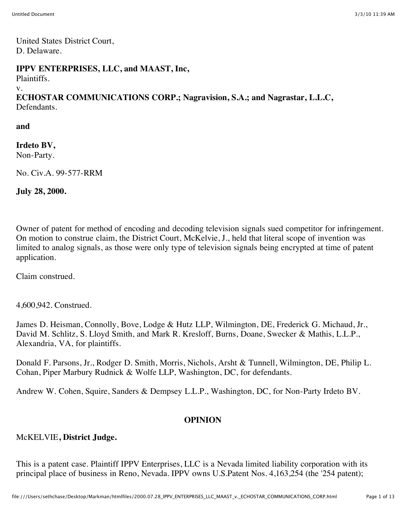United States District Court, D. Delaware.

#### **IPPV ENTERPRISES, LLC, and MAAST, Inc,**

Plaintiffs.

v.

**ECHOSTAR COMMUNICATIONS CORP.; Nagravision, S.A.; and Nagrastar, L.L.C,** Defendants.

**and**

**Irdeto BV,** Non-Party.

No. Civ.A. 99-577-RRM

**July 28, 2000.**

Owner of patent for method of encoding and decoding television signals sued competitor for infringement. On motion to construe claim, the District Court, McKelvie, J., held that literal scope of invention was limited to analog signals, as those were only type of television signals being encrypted at time of patent application.

Claim construed.

4,600,942. Construed.

James D. Heisman, Connolly, Bove, Lodge & Hutz LLP, Wilmington, DE, Frederick G. Michaud, Jr., David M. Schlitz, S. Lloyd Smith, and Mark R. Kresloff, Burns, Doane, Swecker & Mathis, L.L.P., Alexandria, VA, for plaintiffs.

Donald F. Parsons, Jr., Rodger D. Smith, Morris, Nichols, Arsht & Tunnell, Wilmington, DE, Philip L. Cohan, Piper Marbury Rudnick & Wolfe LLP, Washington, DC, for defendants.

Andrew W. Cohen, Squire, Sanders & Dempsey L.L.P., Washington, DC, for Non-Party Irdeto BV.

## **OPINION**

## McKELVIE**, District Judge.**

This is a patent case. Plaintiff IPPV Enterprises, LLC is a Nevada limited liability corporation with its principal place of business in Reno, Nevada. IPPV owns U.S.Patent Nos. 4,163,254 (the '254 patent);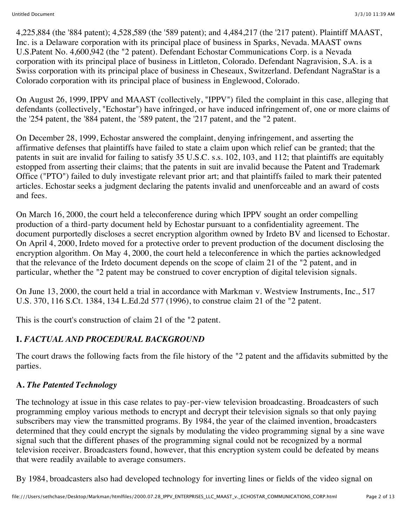4,225,884 (the '884 patent); 4,528,589 (the '589 patent); and 4,484,217 (the '217 patent). Plaintiff MAAST, Inc. is a Delaware corporation with its principal place of business in Sparks, Nevada. MAAST owns U.S.Patent No. 4,600,942 (the "2 patent). Defendant Echostar Communications Corp. is a Nevada corporation with its principal place of business in Littleton, Colorado. Defendant Nagravision, S.A. is a Swiss corporation with its principal place of business in Cheseaux, Switzerland. Defendant NagraStar is a Colorado corporation with its principal place of business in Englewood, Colorado.

On August 26, 1999, IPPV and MAAST (collectively, "IPPV") filed the complaint in this case, alleging that defendants (collectively, "Echostar") have infringed, or have induced infringement of, one or more claims of the '254 patent, the '884 patent, the '589 patent, the '217 patent, and the "2 patent.

On December 28, 1999, Echostar answered the complaint, denying infringement, and asserting the affirmative defenses that plaintiffs have failed to state a claim upon which relief can be granted; that the patents in suit are invalid for failing to satisfy 35 U.S.C. s.s. 102, 103, and 112; that plaintiffs are equitably estopped from asserting their claims; that the patents in suit are invalid because the Patent and Trademark Office ("PTO") failed to duly investigate relevant prior art; and that plaintiffs failed to mark their patented articles. Echostar seeks a judgment declaring the patents invalid and unenforceable and an award of costs and fees.

On March 16, 2000, the court held a teleconference during which IPPV sought an order compelling production of a third-party document held by Echostar pursuant to a confidentiality agreement. The document purportedly discloses a secret encryption algorithm owned by Irdeto BV and licensed to Echostar. On April 4, 2000, Irdeto moved for a protective order to prevent production of the document disclosing the encryption algorithm. On May 4, 2000, the court held a teleconference in which the parties acknowledged that the relevance of the Irdeto document depends on the scope of claim 21 of the "2 patent, and in particular, whether the "2 patent may be construed to cover encryption of digital television signals.

On June 13, 2000, the court held a trial in accordance with Markman v. Westview Instruments, Inc., 517 U.S. 370, 116 S.Ct. 1384, 134 L.Ed.2d 577 (1996), to construe claim 21 of the "2 patent.

This is the court's construction of claim 21 of the "2 patent.

# **I.** *FACTUAL AND PROCEDURAL BACKGROUND*

The court draws the following facts from the file history of the "2 patent and the affidavits submitted by the parties.

## **A.** *The Patented Technology*

The technology at issue in this case relates to pay-per-view television broadcasting. Broadcasters of such programming employ various methods to encrypt and decrypt their television signals so that only paying subscribers may view the transmitted programs. By 1984, the year of the claimed invention, broadcasters determined that they could encrypt the signals by modulating the video programming signal by a sine wave signal such that the different phases of the programming signal could not be recognized by a normal television receiver. Broadcasters found, however, that this encryption system could be defeated by means that were readily available to average consumers.

By 1984, broadcasters also had developed technology for inverting lines or fields of the video signal on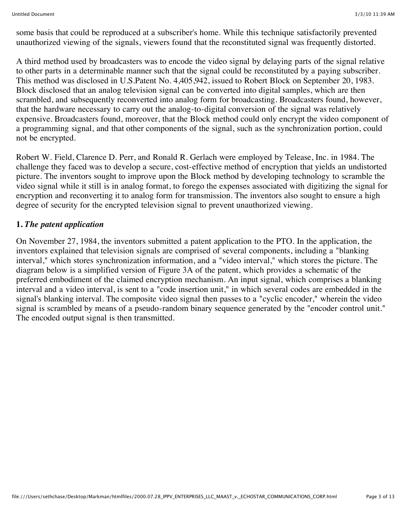some basis that could be reproduced at a subscriber's home. While this technique satisfactorily prevented unauthorized viewing of the signals, viewers found that the reconstituted signal was frequently distorted.

A third method used by broadcasters was to encode the video signal by delaying parts of the signal relative to other parts in a determinable manner such that the signal could be reconstituted by a paying subscriber. This method was disclosed in U.S.Patent No. 4,405,942, issued to Robert Block on September 20, 1983. Block disclosed that an analog television signal can be converted into digital samples, which are then scrambled, and subsequently reconverted into analog form for broadcasting. Broadcasters found, however, that the hardware necessary to carry out the analog-to-digital conversion of the signal was relatively expensive. Broadcasters found, moreover, that the Block method could only encrypt the video component of a programming signal, and that other components of the signal, such as the synchronization portion, could not be encrypted.

Robert W. Field, Clarence D. Perr, and Ronald R. Gerlach were employed by Telease, Inc. in 1984. The challenge they faced was to develop a secure, cost-effective method of encryption that yields an undistorted picture. The inventors sought to improve upon the Block method by developing technology to scramble the video signal while it still is in analog format, to forego the expenses associated with digitizing the signal for encryption and reconverting it to analog form for transmission. The inventors also sought to ensure a high degree of security for the encrypted television signal to prevent unauthorized viewing.

### **1.** *The patent application*

On November 27, 1984, the inventors submitted a patent application to the PTO. In the application, the inventors explained that television signals are comprised of several components, including a "blanking interval," which stores synchronization information, and a "video interval," which stores the picture. The diagram below is a simplified version of Figure 3A of the patent, which provides a schematic of the preferred embodiment of the claimed encryption mechanism. An input signal, which comprises a blanking interval and a video interval, is sent to a "code insertion unit," in which several codes are embedded in the signal's blanking interval. The composite video signal then passes to a "cyclic encoder," wherein the video signal is scrambled by means of a pseudo-random binary sequence generated by the "encoder control unit." The encoded output signal is then transmitted.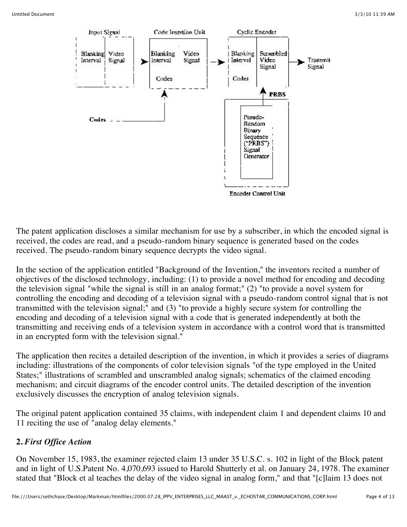

The patent application discloses a similar mechanism for use by a subscriber, in which the encoded signal is received, the codes are read, and a pseudo-random binary sequence is generated based on the codes received. The pseudo-random binary sequence decrypts the video signal.

In the section of the application entitled "Background of the Invention," the inventors recited a number of objectives of the disclosed technology, including: (1) to provide a novel method for encoding and decoding the television signal "while the signal is still in an analog format;" (2) "to provide a novel system for controlling the encoding and decoding of a television signal with a pseudo-random control signal that is not transmitted with the television signal;" and (3) "to provide a highly secure system for controlling the encoding and decoding of a television signal with a code that is generated independently at both the transmitting and receiving ends of a television system in accordance with a control word that is transmitted in an encrypted form with the television signal."

The application then recites a detailed description of the invention, in which it provides a series of diagrams including: illustrations of the components of color television signals "of the type employed in the United States;" illustrations of scrambled and unscrambled analog signals; schematics of the claimed encoding mechanism; and circuit diagrams of the encoder control units. The detailed description of the invention exclusively discusses the encryption of analog television signals.

The original patent application contained 35 claims, with independent claim 1 and dependent claims 10 and 11 reciting the use of "analog delay elements."

## **2.** *First Office Action*

On November 15, 1983, the examiner rejected claim 13 under 35 U.S.C. s. 102 in light of the Block patent and in light of U.S.Patent No. 4,070,693 issued to Harold Shutterly et al. on January 24, 1978. The examiner stated that "Block et al teaches the delay of the video signal in analog form," and that "[c]laim 13 does not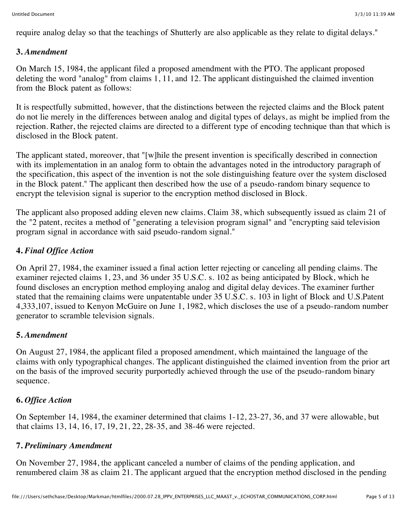require analog delay so that the teachings of Shutterly are also applicable as they relate to digital delays."

### **3.** *Amendment*

On March 15, 1984, the applicant filed a proposed amendment with the PTO. The applicant proposed deleting the word "analog" from claims 1, 11, and 12. The applicant distinguished the claimed invention from the Block patent as follows:

It is respectfully submitted, however, that the distinctions between the rejected claims and the Block patent do not lie merely in the differences between analog and digital types of delays, as might be implied from the rejection. Rather, the rejected claims are directed to a different type of encoding technique than that which is disclosed in the Block patent.

The applicant stated, moreover, that "[w]hile the present invention is specifically described in connection with its implementation in an analog form to obtain the advantages noted in the introductory paragraph of the specification, this aspect of the invention is not the sole distinguishing feature over the system disclosed in the Block patent." The applicant then described how the use of a pseudo-random binary sequence to encrypt the television signal is superior to the encryption method disclosed in Block.

The applicant also proposed adding eleven new claims. Claim 38, which subsequently issued as claim 21 of the "2 patent, recites a method of "generating a television program signal" and "encrypting said television program signal in accordance with said pseudo-random signal."

## **4.** *Final Office Action*

On April 27, 1984, the examiner issued a final action letter rejecting or canceling all pending claims. The examiner rejected claims 1, 23, and 36 under 35 U.S.C. s. 102 as being anticipated by Block, which he found discloses an encryption method employing analog and digital delay devices. The examiner further stated that the remaining claims were unpatentable under 35 U.S.C. s. 103 in light of Block and U.S.Patent 4,333,107, issued to Kenyon McGuire on June 1, 1982, which discloses the use of a pseudo-random number generator to scramble television signals.

## **5.** *Amendment*

On August 27, 1984, the applicant filed a proposed amendment, which maintained the language of the claims with only typographical changes. The applicant distinguished the claimed invention from the prior art on the basis of the improved security purportedly achieved through the use of the pseudo-random binary sequence.

## **6.** *Office Action*

On September 14, 1984, the examiner determined that claims 1-12, 23-27, 36, and 37 were allowable, but that claims 13, 14, 16, 17, 19, 21, 22, 28-35, and 38-46 were rejected.

## **7.** *Preliminary Amendment*

On November 27, 1984, the applicant canceled a number of claims of the pending application, and renumbered claim 38 as claim 21. The applicant argued that the encryption method disclosed in the pending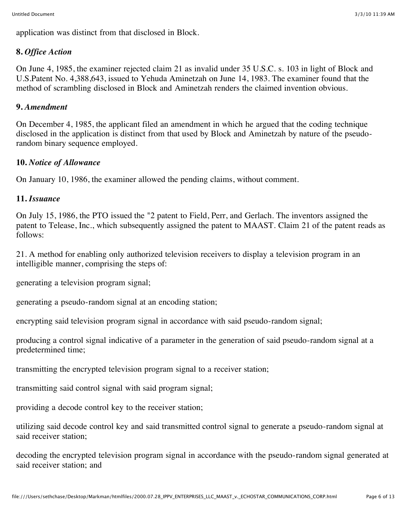application was distinct from that disclosed in Block.

## **8.** *Office Action*

On June 4, 1985, the examiner rejected claim 21 as invalid under 35 U.S.C. s. 103 in light of Block and U.S.Patent No. 4,388,643, issued to Yehuda Aminetzah on June 14, 1983. The examiner found that the method of scrambling disclosed in Block and Aminetzah renders the claimed invention obvious.

### **9.** *Amendment*

On December 4, 1985, the applicant filed an amendment in which he argued that the coding technique disclosed in the application is distinct from that used by Block and Aminetzah by nature of the pseudorandom binary sequence employed.

#### **10.** *Notice of Allowance*

On January 10, 1986, the examiner allowed the pending claims, without comment.

#### **11.** *Issuance*

On July 15, 1986, the PTO issued the "2 patent to Field, Perr, and Gerlach. The inventors assigned the patent to Telease, Inc., which subsequently assigned the patent to MAAST. Claim 21 of the patent reads as follows:

21. A method for enabling only authorized television receivers to display a television program in an intelligible manner, comprising the steps of:

generating a television program signal;

generating a pseudo-random signal at an encoding station;

encrypting said television program signal in accordance with said pseudo-random signal;

producing a control signal indicative of a parameter in the generation of said pseudo-random signal at a predetermined time;

transmitting the encrypted television program signal to a receiver station;

transmitting said control signal with said program signal;

providing a decode control key to the receiver station;

utilizing said decode control key and said transmitted control signal to generate a pseudo-random signal at said receiver station;

decoding the encrypted television program signal in accordance with the pseudo-random signal generated at said receiver station; and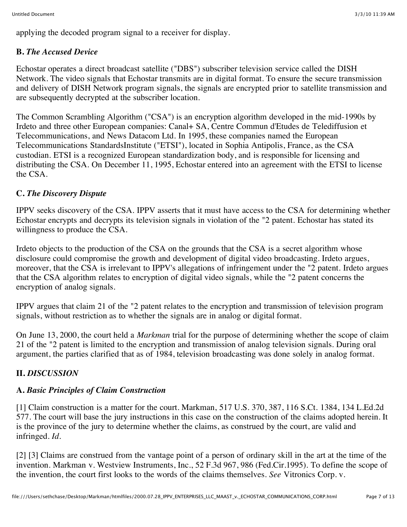applying the decoded program signal to a receiver for display.

## **B.** *The Accused Device*

Echostar operates a direct broadcast satellite ("DBS") subscriber television service called the DISH Network. The video signals that Echostar transmits are in digital format. To ensure the secure transmission and delivery of DISH Network program signals, the signals are encrypted prior to satellite transmission and are subsequently decrypted at the subscriber location.

The Common Scrambling Algorithm ("CSA") is an encryption algorithm developed in the mid-1990s by Irdeto and three other European companies: Canal+ SA, Centre Commun d'Etudes de Telediffusion et Telecommunications, and News Datacom Ltd. In 1995, these companies named the European Telecommunications StandardsInstitute ("ETSI"), located in Sophia Antipolis, France, as the CSA custodian. ETSI is a recognized European standardization body, and is responsible for licensing and distributing the CSA. On December 11, 1995, Echostar entered into an agreement with the ETSI to license the CSA.

## **C.** *The Discovery Dispute*

IPPV seeks discovery of the CSA. IPPV asserts that it must have access to the CSA for determining whether Echostar encrypts and decrypts its television signals in violation of the "2 patent. Echostar has stated its willingness to produce the CSA.

Irdeto objects to the production of the CSA on the grounds that the CSA is a secret algorithm whose disclosure could compromise the growth and development of digital video broadcasting. Irdeto argues, moreover, that the CSA is irrelevant to IPPV's allegations of infringement under the "2 patent. Irdeto argues that the CSA algorithm relates to encryption of digital video signals, while the "2 patent concerns the encryption of analog signals.

IPPV argues that claim 21 of the "2 patent relates to the encryption and transmission of television program signals, without restriction as to whether the signals are in analog or digital format.

On June 13, 2000, the court held a *Markman* trial for the purpose of determining whether the scope of claim 21 of the "2 patent is limited to the encryption and transmission of analog television signals. During oral argument, the parties clarified that as of 1984, television broadcasting was done solely in analog format.

## **II.** *DISCUSSION*

## **A.** *Basic Principles of Claim Construction*

[1] Claim construction is a matter for the court. Markman, 517 U.S. 370, 387, 116 S.Ct. 1384, 134 L.Ed.2d 577. The court will base the jury instructions in this case on the construction of the claims adopted herein. It is the province of the jury to determine whether the claims, as construed by the court, are valid and infringed. *Id.*

[2] [3] Claims are construed from the vantage point of a person of ordinary skill in the art at the time of the invention. Markman v. Westview Instruments, Inc., 52 F.3d 967, 986 (Fed.Cir.1995). To define the scope of the invention, the court first looks to the words of the claims themselves. *See* Vitronics Corp. v.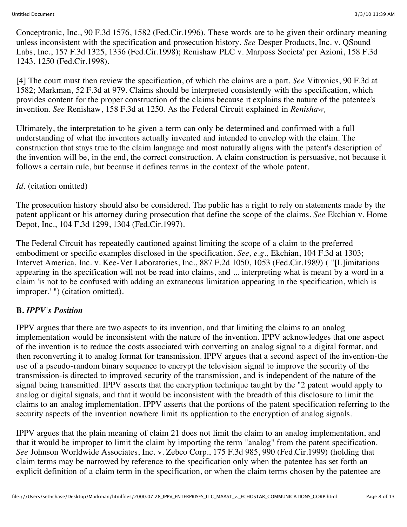Conceptronic, Inc., 90 F.3d 1576, 1582 (Fed.Cir.1996). These words are to be given their ordinary meaning unless inconsistent with the specification and prosecution history. *See* Desper Products, Inc. v. QSound Labs, Inc., 157 F.3d 1325, 1336 (Fed.Cir.1998); Renishaw PLC v. Marposs Societa' per Azioni, 158 F.3d 1243, 1250 (Fed.Cir.1998).

[4] The court must then review the specification, of which the claims are a part. *See* Vitronics, 90 F.3d at 1582; Markman, 52 F.3d at 979. Claims should be interpreted consistently with the specification, which provides content for the proper construction of the claims because it explains the nature of the patentee's invention. *See* Renishaw, 158 F.3d at 1250. As the Federal Circuit explained in *Renishaw,*

Ultimately, the interpretation to be given a term can only be determined and confirmed with a full understanding of what the inventors actually invented and intended to envelop with the claim. The construction that stays true to the claim language and most naturally aligns with the patent's description of the invention will be, in the end, the correct construction. A claim construction is persuasive, not because it follows a certain rule, but because it defines terms in the context of the whole patent.

### *Id.* (citation omitted)

The prosecution history should also be considered. The public has a right to rely on statements made by the patent applicant or his attorney during prosecution that define the scope of the claims. *See* Ekchian v. Home Depot, Inc., 104 F.3d 1299, 1304 (Fed.Cir.1997).

The Federal Circuit has repeatedly cautioned against limiting the scope of a claim to the preferred embodiment or specific examples disclosed in the specification. *See, e.g.,* Ekchian, 104 F.3d at 1303; Intervet America, Inc. v. Kee-Vet Laboratories, Inc., 887 F.2d 1050, 1053 (Fed.Cir.1989) ( "[L]imitations appearing in the specification will not be read into claims, and ... interpreting what is meant by a word in a claim 'is not to be confused with adding an extraneous limitation appearing in the specification, which is improper.' ") (citation omitted).

## **B.** *IPPV's Position*

IPPV argues that there are two aspects to its invention, and that limiting the claims to an analog implementation would be inconsistent with the nature of the invention. IPPV acknowledges that one aspect of the invention is to reduce the costs associated with converting an analog signal to a digital format, and then reconverting it to analog format for transmission. IPPV argues that a second aspect of the invention-the use of a pseudo-random binary sequence to encrypt the television signal to improve the security of the transmission-is directed to improved security of the transmission, and is independent of the nature of the signal being transmitted. IPPV asserts that the encryption technique taught by the "2 patent would apply to analog or digital signals, and that it would be inconsistent with the breadth of this disclosure to limit the claims to an analog implementation. IPPV asserts that the portions of the patent specification referring to the security aspects of the invention nowhere limit its application to the encryption of analog signals.

IPPV argues that the plain meaning of claim 21 does not limit the claim to an analog implementation, and that it would be improper to limit the claim by importing the term "analog" from the patent specification. *See* Johnson Worldwide Associates, Inc. v. Zebco Corp., 175 F.3d 985, 990 (Fed.Cir.1999) (holding that claim terms may be narrowed by reference to the specification only when the patentee has set forth an explicit definition of a claim term in the specification, or when the claim terms chosen by the patentee are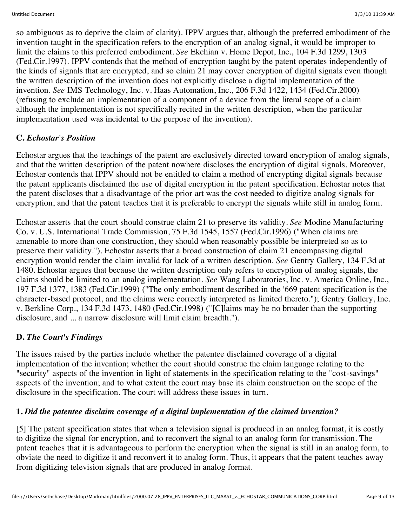so ambiguous as to deprive the claim of clarity). IPPV argues that, although the preferred embodiment of the invention taught in the specification refers to the encryption of an analog signal, it would be improper to limit the claims to this preferred embodiment. *See* Ekchian v. Home Depot, Inc., 104 F.3d 1299, 1303 (Fed.Cir.1997). IPPV contends that the method of encryption taught by the patent operates independently of the kinds of signals that are encrypted, and so claim 21 may cover encryption of digital signals even though the written description of the invention does not explicitly disclose a digital implementation of the invention. *See* IMS Technology, Inc. v. Haas Automation, Inc., 206 F.3d 1422, 1434 (Fed.Cir.2000) (refusing to exclude an implementation of a component of a device from the literal scope of a claim although the implementation is not specifically recited in the written description, when the particular implementation used was incidental to the purpose of the invention).

## **C.** *Echostar's Position*

Echostar argues that the teachings of the patent are exclusively directed toward encryption of analog signals, and that the written description of the patent nowhere discloses the encryption of digital signals. Moreover, Echostar contends that IPPV should not be entitled to claim a method of encrypting digital signals because the patent applicants disclaimed the use of digital encryption in the patent specification. Echostar notes that the patent discloses that a disadvantage of the prior art was the cost needed to digitize analog signals for encryption, and that the patent teaches that it is preferable to encrypt the signals while still in analog form.

Echostar asserts that the court should construe claim 21 to preserve its validity. *See* Modine Manufacturing Co. v. U.S. International Trade Commission, 75 F.3d 1545, 1557 (Fed.Cir.1996) ("When claims are amenable to more than one construction, they should when reasonably possible be interpreted so as to preserve their validity."). Echostar asserts that a broad construction of claim 21 encompassing digital encryption would render the claim invalid for lack of a written description. *See* Gentry Gallery, 134 F.3d at 1480. Echostar argues that because the written description only refers to encryption of analog signals, the claims should be limited to an analog implementation. *See* Wang Laboratories, Inc. v. America Online, Inc., 197 F.3d 1377, 1383 (Fed.Cir.1999) ("The only embodiment described in the '669 patent specification is the character-based protocol, and the claims were correctly interpreted as limited thereto."); Gentry Gallery, Inc. v. Berkline Corp., 134 F.3d 1473, 1480 (Fed.Cir.1998) ("[C]laims may be no broader than the supporting disclosure, and ... a narrow disclosure will limit claim breadth.").

## **D.** *The Court's Findings*

The issues raised by the parties include whether the patentee disclaimed coverage of a digital implementation of the invention; whether the court should construe the claim language relating to the "security" aspects of the invention in light of statements in the specification relating to the "cost-savings" aspects of the invention; and to what extent the court may base its claim construction on the scope of the disclosure in the specification. The court will address these issues in turn.

## **1.** *Did the patentee disclaim coverage of a digital implementation of the claimed invention?*

[5] The patent specification states that when a television signal is produced in an analog format, it is costly to digitize the signal for encryption, and to reconvert the signal to an analog form for transmission. The patent teaches that it is advantageous to perform the encryption when the signal is still in an analog form, to obviate the need to digitize it and reconvert it to analog form. Thus, it appears that the patent teaches away from digitizing television signals that are produced in analog format.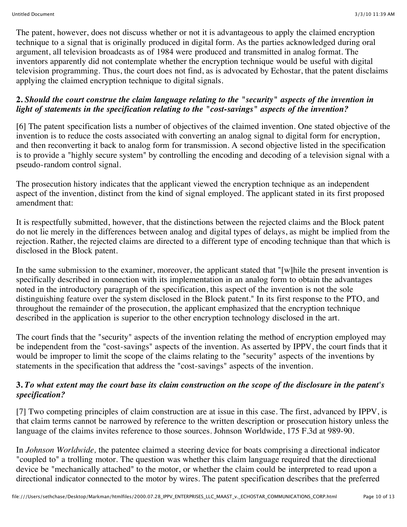The patent, however, does not discuss whether or not it is advantageous to apply the claimed encryption technique to a signal that is originally produced in digital form. As the parties acknowledged during oral argument, all television broadcasts as of 1984 were produced and transmitted in analog format. The inventors apparently did not contemplate whether the encryption technique would be useful with digital television programming. Thus, the court does not find, as is advocated by Echostar, that the patent disclaims applying the claimed encryption technique to digital signals.

#### **2.** *Should the court construe the claim language relating to the "security" aspects of the invention in light of statements in the specification relating to the "cost-savings" aspects of the invention?*

[6] The patent specification lists a number of objectives of the claimed invention. One stated objective of the invention is to reduce the costs associated with converting an analog signal to digital form for encryption, and then reconverting it back to analog form for transmission. A second objective listed in the specification is to provide a "highly secure system" by controlling the encoding and decoding of a television signal with a pseudo-random control signal.

The prosecution history indicates that the applicant viewed the encryption technique as an independent aspect of the invention, distinct from the kind of signal employed. The applicant stated in its first proposed amendment that:

It is respectfully submitted, however, that the distinctions between the rejected claims and the Block patent do not lie merely in the differences between analog and digital types of delays, as might be implied from the rejection. Rather, the rejected claims are directed to a different type of encoding technique than that which is disclosed in the Block patent.

In the same submission to the examiner, moreover, the applicant stated that "[w]hile the present invention is specifically described in connection with its implementation in an analog form to obtain the advantages noted in the introductory paragraph of the specification, this aspect of the invention is not the sole distinguishing feature over the system disclosed in the Block patent." In its first response to the PTO, and throughout the remainder of the prosecution, the applicant emphasized that the encryption technique described in the application is superior to the other encryption technology disclosed in the art.

The court finds that the "security" aspects of the invention relating the method of encryption employed may be independent from the "cost-savings" aspects of the invention. As asserted by IPPV, the court finds that it would be improper to limit the scope of the claims relating to the "security" aspects of the inventions by statements in the specification that address the "cost-savings" aspects of the invention.

#### **3.** *To what extent may the court base its claim construction on the scope of the disclosure in the patent's specification?*

[7] Two competing principles of claim construction are at issue in this case. The first, advanced by IPPV, is that claim terms cannot be narrowed by reference to the written description or prosecution history unless the language of the claims invites reference to those sources. Johnson Worldwide, 175 F.3d at 989-90.

In *Johnson Worldwide,* the patentee claimed a steering device for boats comprising a directional indicator "coupled to" a trolling motor. The question was whether this claim language required that the directional device be "mechanically attached" to the motor, or whether the claim could be interpreted to read upon a directional indicator connected to the motor by wires. The patent specification describes that the preferred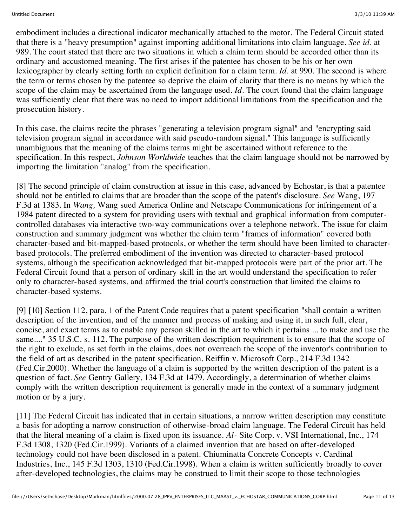embodiment includes a directional indicator mechanically attached to the motor. The Federal Circuit stated that there is a "heavy presumption" against importing additional limitations into claim language. *See id.* at 989. The court stated that there are two situations in which a claim term should be accorded other than its ordinary and accustomed meaning. The first arises if the patentee has chosen to be his or her own lexicographer by clearly setting forth an explicit definition for a claim term. *Id.* at 990. The second is where the term or terms chosen by the patentee so deprive the claim of clarity that there is no means by which the scope of the claim may be ascertained from the language used. *Id.* The court found that the claim language was sufficiently clear that there was no need to import additional limitations from the specification and the prosecution history.

In this case, the claims recite the phrases "generating a television program signal" and "encrypting said television program signal in accordance with said pseudo-random signal." This language is sufficiently unambiguous that the meaning of the claims terms might be ascertained without reference to the specification. In this respect, *Johnson Worldwide* teaches that the claim language should not be narrowed by importing the limitation "analog" from the specification.

[8] The second principle of claim construction at issue in this case, advanced by Echostar, is that a patentee should not be entitled to claims that are broader than the scope of the patent's disclosure. *See* Wang, 197 F.3d at 1383. In *Wang,* Wang sued America Online and Netscape Communications for infringement of a 1984 patent directed to a system for providing users with textual and graphical information from computercontrolled databases via interactive two-way communications over a telephone network. The issue for claim construction and summary judgment was whether the claim term "frames of information" covered both character-based and bit-mapped-based protocols, or whether the term should have been limited to characterbased protocols. The preferred embodiment of the invention was directed to character-based protocol systems, although the specification acknowledged that bit-mapped protocols were part of the prior art. The Federal Circuit found that a person of ordinary skill in the art would understand the specification to refer only to character-based systems, and affirmed the trial court's construction that limited the claims to character-based systems.

[9] [10] Section 112, para. 1 of the Patent Code requires that a patent specification "shall contain a written description of the invention, and of the manner and process of making and using it, in such full, clear, concise, and exact terms as to enable any person skilled in the art to which it pertains ... to make and use the same...." 35 U.S.C. s. 112. The purpose of the written description requirement is to ensure that the scope of the right to exclude, as set forth in the claims, does not overreach the scope of the inventor's contribution to the field of art as described in the patent specification. Reiffin v. Microsoft Corp., 214 F.3d 1342 (Fed.Cir.2000). Whether the language of a claim is supported by the written description of the patent is a question of fact. *See* Gentry Gallery, 134 F.3d at 1479. Accordingly, a determination of whether claims comply with the written description requirement is generally made in the context of a summary judgment motion or by a jury.

[11] The Federal Circuit has indicated that in certain situations, a narrow written description may constitute a basis for adopting a narrow construction of otherwise-broad claim language. The Federal Circuit has held that the literal meaning of a claim is fixed upon its issuance. *Al-* Site Corp. v. VSI International, Inc., 174 F.3d 1308, 1320 (Fed.Cir.1999). Variants of a claimed invention that are based on after-developed technology could not have been disclosed in a patent. Chiuminatta Concrete Concepts v. Cardinal Industries, Inc., 145 F.3d 1303, 1310 (Fed.Cir.1998). When a claim is written sufficiently broadly to cover after-developed technologies, the claims may be construed to limit their scope to those technologies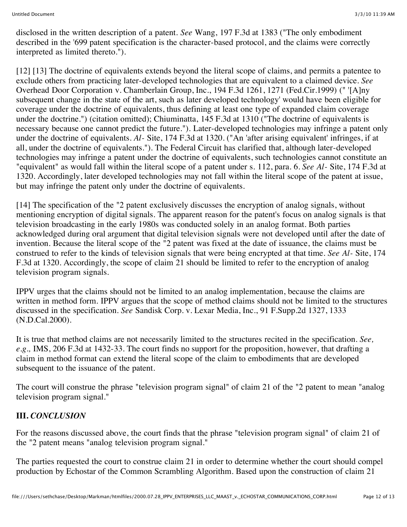disclosed in the written description of a patent. *See* Wang, 197 F.3d at 1383 ("The only embodiment described in the '699 patent specification is the character-based protocol, and the claims were correctly interpreted as limited thereto.").

[12] [13] The doctrine of equivalents extends beyond the literal scope of claims, and permits a patentee to exclude others from practicing later-developed technologies that are equivalent to a claimed device. *See* Overhead Door Corporation v. Chamberlain Group, Inc., 194 F.3d 1261, 1271 (Fed.Cir.1999) (" '[A]ny subsequent change in the state of the art, such as later developed technology' would have been eligible for coverage under the doctrine of equivalents, thus defining at least one type of expanded claim coverage under the doctrine.") (citation omitted); Chiuminatta, 145 F.3d at 1310 ("The doctrine of equivalents is necessary because one cannot predict the future."). Later-developed technologies may infringe a patent only under the doctrine of equivalents. *Al-* Site, 174 F.3d at 1320. ("An 'after arising equivalent' infringes, if at all, under the doctrine of equivalents."). The Federal Circuit has clarified that, although later-developed technologies may infringe a patent under the doctrine of equivalents, such technologies cannot constitute an "equivalent" as would fall within the literal scope of a patent under s. 112, para. 6. *See Al-* Site, 174 F.3d at 1320. Accordingly, later developed technologies may not fall within the literal scope of the patent at issue, but may infringe the patent only under the doctrine of equivalents.

[14] The specification of the "2 patent exclusively discusses the encryption of analog signals, without mentioning encryption of digital signals. The apparent reason for the patent's focus on analog signals is that television broadcasting in the early 1980s was conducted solely in an analog format. Both parties acknowledged during oral argument that digital television signals were not developed until after the date of invention. Because the literal scope of the "2 patent was fixed at the date of issuance, the claims must be construed to refer to the kinds of television signals that were being encrypted at that time. *See Al-* Site, 174 F.3d at 1320. Accordingly, the scope of claim 21 should be limited to refer to the encryption of analog television program signals.

IPPV urges that the claims should not be limited to an analog implementation, because the claims are written in method form. IPPV argues that the scope of method claims should not be limited to the structures discussed in the specification. *See* Sandisk Corp. v. Lexar Media, Inc., 91 F.Supp.2d 1327, 1333 (N.D.Cal.2000).

It is true that method claims are not necessarily limited to the structures recited in the specification. *See, e.g.,* IMS, 206 F.3d at 1432-33. The court finds no support for the proposition, however, that drafting a claim in method format can extend the literal scope of the claim to embodiments that are developed subsequent to the issuance of the patent.

The court will construe the phrase "television program signal" of claim 21 of the "2 patent to mean "analog television program signal."

## **III.** *CONCLUSION*

For the reasons discussed above, the court finds that the phrase "television program signal" of claim 21 of the "2 patent means "analog television program signal."

The parties requested the court to construe claim 21 in order to determine whether the court should compel production by Echostar of the Common Scrambling Algorithm. Based upon the construction of claim 21